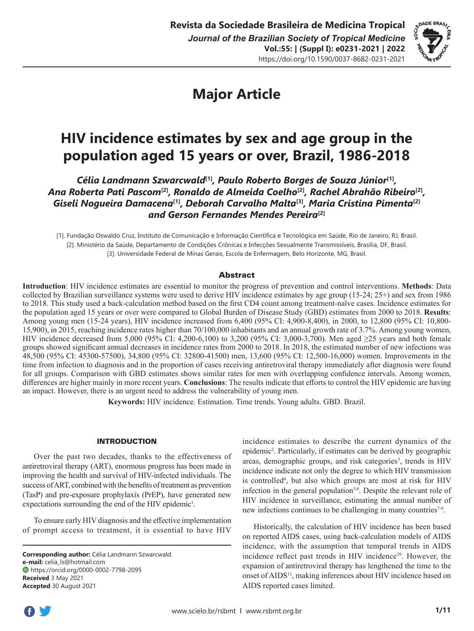

# **Major Article**

## **HIV incidence estimates by sex and age group in the population aged 15 years or over, Brazil, 1986-2018**

*Célia Landmann Szwarcwald***[1]***, Paulo Roberto Borges de Souza Júnior***[1]***, Ana Roberta Pati Pascom***[2]***, Ronaldo de Almeida Coelho***[2]***, Rachel Abrahão Ribeiro***[2]***, Giseli Nogueira Damacena***[1]***, Deborah Carvalho Malta***[3]***, Maria Cristina Pimenta***[2]** *and Gerson Fernandes Mendes Pereira***[2]**

[1]. Fundação Oswaldo Cruz, Instituto de Comunicação e Informação Científica e Tecnológica em Saúde, Rio de Janeiro, RJ, Brasil. [2]. Ministério da Saúde, Departamento de Condições Crônicas e Infecções Sexualmente Transmissíveis, Brasília, DF, Brasil. [3]. Universidade Federal de Minas Gerais, Escola de Enfermagem, Belo Horizonte, MG, Brasil.

## **Abstract**

**Introduction**: HIV incidence estimates are essential to monitor the progress of prevention and control interventions. **Methods**: Data collected by Brazilian surveillance systems were used to derive HIV incidence estimates by age group (15-24; 25+) and sex from 1986 to 2018. This study used a back-calculation method based on the first CD4 count among treatment-naïve cases. Incidence estimates for the population aged 15 years or over were compared to Global Burden of Disease Study (GBD) estimates from 2000 to 2018. **Results**: Among young men (15-24 years), HIV incidence increased from 6,400 (95% CI: 4,900-8,400), in 2000, to 12,800 (95% CI: 10,800- 15,900), in 2015, reaching incidence rates higher than 70/100,000 inhabitants and an annual growth rate of 3.7%. Among young women, HIV incidence decreased from 5,000 (95% CI: 4,200-6,100) to 3,200 (95% CI: 3,000-3,700). Men aged ≥25 years and both female groups showed significant annual decreases in incidence rates from 2000 to 2018. In 2018, the estimated number of new infections was 48,500 (95% CI: 45300-57500), 34,800 (95% CI: 32800-41500) men, 13,600 (95% CI: 12,500-16,000) women. Improvements in the time from infection to diagnosis and in the proportion of cases receiving antiretroviral therapy immediately after diagnosis were found for all groups. Comparison with GBD estimates shows similar rates for men with overlapping confidence intervals. Among women, differences are higher mainly in more recent years. **Conclusions**: The results indicate that efforts to control the HIV epidemic are having an impact. However, there is an urgent need to address the vulnerability of young men.

**Keywords:** HIV incidence. Estimation. Time trends. Young adults. GBD. Brazil.

#### INTRODUCTION

Over the past two decades, thanks to the effectiveness of antiretroviral therapy (ART), enormous progress has been made in improving the health and survival of HIV-infected individuals. The success of ART, combined with the benefits of treatment as prevention (TasP) and pre-exposure prophylaxis (PrEP), have generated new expectations surrounding the end of the HIV epidemic<sup>1</sup>.

To ensure early HIV diagnosis and the effective implementation of prompt access to treatment, it is essential to have HIV

**Corresponding author:** Célia Landmann Szwarcwald. **e-mail:** celia\_ls@hotmail.com https://orcid.org/0000-0002-7798-2095 **Received** 3 May 2021 **Accepted** 30 August 2021

incidence estimates to describe the current dynamics of the epidemic2 . Particularly, if estimates can be derived by geographic areas, demographic groups, and risk categories<sup>3</sup>, trends in HIV incidence indicate not only the degree to which HIV transmission is controlled<sup>4</sup>, but also which groups are most at risk for HIV infection in the general population<sup>5,6</sup>. Despite the relevant role of HIV incidence in surveillance, estimating the annual number of new infections continues to be challenging in many countries<sup>7-9</sup>.

Historically, the calculation of HIV incidence has been based on reported AIDS cases, using back-calculation models of AIDS incidence, with the assumption that temporal trends in AIDS incidence reflect past trends in HIV incidence<sup>10</sup>. However, the expansion of antiretroviral therapy has lengthened the time to the onset of AIDS<sup>11</sup>, making inferences about HIV incidence based on AIDS reported cases limited.

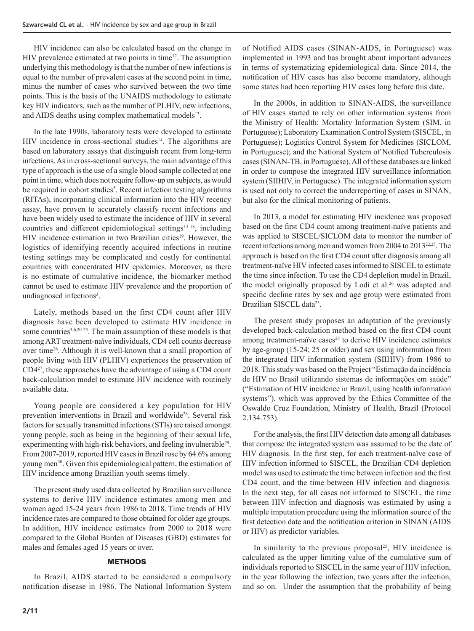HIV incidence can also be calculated based on the change in HIV prevalence estimated at two points in time<sup>12</sup>. The assumption underlying this methodology is that the number of new infections is equal to the number of prevalent cases at the second point in time, minus the number of cases who survived between the two time points. This is the basis of the UNAIDS methodology to estimate key HIV indicators, such as the number of PLHIV, new infections, and AIDS deaths using complex mathematical models<sup>13</sup>.

In the late 1990s, laboratory tests were developed to estimate HIV incidence in cross-sectional studies<sup>14</sup>. The algorithms are based on laboratory assays that distinguish recent from long-term infections. As in cross-sectional surveys, the main advantage of this type of approach is the use of a single blood sample collected at one point in time, which does not require follow-up on subjects, as would be required in cohort studies<sup>5</sup>. Recent infection testing algorithms (RITAs), incorporating clinical information into the HIV recency assay, have proven to accurately classify recent infections and have been widely used to estimate the incidence of HIV in several countries and different epidemiological settings<sup>15-18</sup>, including HIV incidence estimation in two Brazilian cities<sup>19</sup>. However, the logistics of identifying recently acquired infections in routine testing settings may be complicated and costly for continental countries with concentrated HIV epidemics. Moreover, as there is no estimate of cumulative incidence, the biomarker method cannot be used to estimate HIV prevalence and the proportion of undiagnosed infections<sup>3</sup>.

Lately, methods based on the first CD4 count after HIV diagnosis have been developed to estimate HIV incidence in some countries<sup>3,6,20-25</sup>. The main assumption of these models is that among ART treatment-naïve individuals, CD4 cell counts decrease over time26. Although it is well-known that a small proportion of people living with HIV (PLHIV) experiences the preservation of CD4<sup>27</sup>, these approaches have the advantage of using a CD4 count back-calculation model to estimate HIV incidence with routinely available data.

Young people are considered a key population for HIV prevention interventions in Brazil and worldwide<sup>28</sup>. Several risk factors for sexually transmitted infections (STIs) are raised amongst young people, such as being in the beginning of their sexual life, experimenting with high-risk behaviors, and feeling invulnerable<sup>29</sup>. From 2007-2019, reported HIV cases in Brazil rose by 64.6% among young men30. Given this epidemiological pattern, the estimation of HIV incidence among Brazilian youth seems timely.

The present study used data collected by Brazilian surveillance systems to derive HIV incidence estimates among men and women aged 15-24 years from 1986 to 2018. Time trends of HIV incidence rates are compared to those obtained for older age groups. In addition, HIV incidence estimates from 2000 to 2018 were compared to the Global Burden of Diseases (GBD) estimates for males and females aged 15 years or over.

#### **METHODS**

In Brazil, AIDS started to be considered a compulsory notification disease in 1986. The National Information System of Notified AIDS cases (SINAN-AIDS, in Portuguese) was implemented in 1993 and has brought about important advances in terms of systematizing epidemiological data. Since 2014, the notification of HIV cases has also become mandatory, although some states had been reporting HIV cases long before this date.

In the 2000s, in addition to SINAN-AIDS, the surveillance of HIV cases started to rely on other information systems from the Ministry of Health: Mortality Information System (SIM, in Portuguese); Laboratory Examination Control System (SISCEL, in Portuguese); Logistics Control System for Medicines (SICLOM, in Portuguese); and the National System of Notified Tuberculosis cases (SINAN-TB, in Portuguese). All of these databases are linked in order to compose the integrated HIV surveillance information system (SIIHIV, in Portuguese). The integrated information system is used not only to correct the underreporting of cases in SINAN, but also for the clinical monitoring of patients.

In 2013, a model for estimating HIV incidence was proposed based on the first CD4 count among treatment-naïve patients and was applied to SISCEL/SICLOM data to monitor the number of recent infections among men and women from 2004 to 2013<sup>22,25</sup>. The approach is based on the first CD4 count after diagnosis among all treatment-naïve HIV infected cases informed to SISCEL to estimate the time since infection. To use the CD4 depletion model in Brazil, the model originally proposed by Lodi et al.<sup>26</sup> was adapted and specific decline rates by sex and age group were estimated from Brazilian SISCEL data<sup>25</sup>.

The present study proposes an adaptation of the previously developed back-calculation method based on the first CD4 count among treatment-naïve cases $25$  to derive HIV incidence estimates by age-group (15-24; 25 or older) and sex using information from the integrated HIV information system (SIIHIV) from 1986 to 2018. This study was based on the Project "Estimação da incidência de HIV no Brasil utilizando sistemas de informações em saúde" ("Estimation of HIV incidence in Brazil, using health information systems"), which was approved by the Ethics Committee of the Oswaldo Cruz Foundation, Ministry of Health, Brazil (Protocol 2.134.753).

For the analysis, the first HIV detection date among all databases that compose the integrated system was assumed to be the date of HIV diagnosis. In the first step, for each treatment-naïve case of HIV infection informed to SISCEL, the Brazilian CD4 depletion model was used to estimate the time between infection and the first CD4 count, and the time between HIV infection and diagnosis. In the next step, for all cases not informed to SISCEL, the time between HIV infection and diagnosis was estimated by using a multiple imputation procedure using the information source of the first detection date and the notification criterion in SINAN (AIDS or HIV) as predictor variables.

In similarity to the previous proposal<sup>25</sup>, HIV incidence is calculated as the upper limiting value of the cumulative sum of individuals reported to SISCEL in the same year of HIV infection, in the year following the infection, two years after the infection, and so on. Under the assumption that the probability of being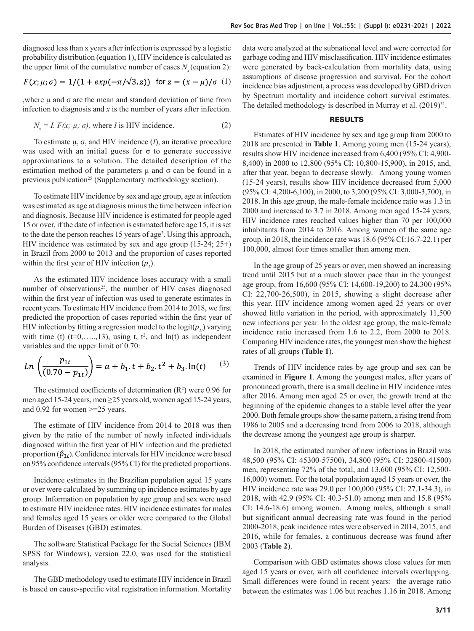diagnosed less than x years after infection is expressed by a logistic probability distribution (equation 1), HIV incidence is calculated as the upper limit of the cumulative number of cases  $N_{\gamma}$  (equation 2):

$$
F(x; \mu; \sigma) = 1/(1 + \exp(-\pi/\sqrt{3} \cdot z)) \text{ for } z = (x - \mu)/\sigma(1)
$$

, where  $μ$  and  $σ$  are the mean and standard deviation of time from infection to diagnosis and *x* is the number of years after infection.

$$
N_r = I. F(x; \mu; \sigma), \text{ where } I \text{ is HIV incidence.}
$$
 (2)

To estimate μ, σ, and HIV incidence (*I*), an iterative procedure was used with an initial guess for  $\sigma$  to generate successive approximations to a solution. The detailed description of the estimation method of the parameters  $\mu$  and  $\sigma$  can be found in a previous publication<sup>25</sup> (Supplementary methodology section).

To estimate HIV incidence by sex and age group, age at infection was estimated as age at diagnosis minus the time between infection and diagnosis. Because HIV incidence is estimated for people aged 15 or over, if the date of infection is estimated before age 15, it is set to the date the person reaches 15 years of age<sup>3</sup>. Using this approach, HIV incidence was estimated by sex and age group (15-24; 25+) in Brazil from 2000 to 2013 and the proportion of cases reported within the first year of HIV infection  $(p_i)$ .

As the estimated HIV incidence loses accuracy with a small number of observations<sup>25</sup>, the number of HIV cases diagnosed within the first year of infection was used to generate estimates in recent years. To estimate HIV incidence from 2014 to 2018, we first predicted the proportion of cases reported within the first year of HIV infection by fitting a regression model to the  $logit(p<sub>1</sub>)$  varying with time (t)  $(t=0, \ldots, 13)$ , using t,  $t^2$ , and  $ln(t)$  as independent variables and the upper limit of 0.70:

$$
Ln\left(\frac{p_{1t}}{(0.70 - p_{1t})}\right) = a + b_1 \cdot t + b_2 \cdot t^2 + b_3 \cdot \ln(t) \tag{3}
$$

The estimated coefficients of determination  $(R^2)$  were 0.96 for men aged 15-24 years, men ≥25 years old, women aged 15-24 years, and 0.92 for women >=25 years.

The estimate of HIV incidence from 2014 to 2018 was then given by the ratio of the number of newly infected individuals diagnosed within the first year of HIV infection and the predicted proportion  $(\hat{p}_{1t})$ . Confidence intervals for HIV incidence were based on 95% confidence intervals (95% CI) for the predicted proportions.

Incidence estimates in the Brazilian population aged 15 years or over were calculated by summing up incidence estimates by age group. Information on population by age group and sex were used to estimate HIV incidence rates. HIV incidence estimates for males and females aged 15 years or older were compared to the Global Burden of Diseases (GBD) estimates.

The software Statistical Package for the Social Sciences (IBM SPSS for Windows), version 22.0, was used for the statistical analysis.

The GBD methodology used to estimate HIV incidence in Brazil is based on cause-specific vital registration information. Mortality

data were analyzed at the subnational level and were corrected for garbage coding and HIV misclassification. HIV incidence estimates were generated by back-calculation from mortality data, using assumptions of disease progression and survival. For the cohort incidence bias adjustment, a process was developed by GBD driven by Spectrum mortality and incidence cohort survival estimates. The detailed methodology is described in Murray et al.  $(2019)^{31}$ .

### RESULTS

Estimates of HIV incidence by sex and age group from 2000 to 2018 are presented in **Table 1**. Among young men (15-24 years), results show HIV incidence increased from 6,400 (95% CI: 4,900- 8,400) in 2000 to 12,800 (95% CI: 10,800-15,900), in 2015, and, after that year, began to decrease slowly. Among young women (15-24 years), results show HIV incidence decreased from 5,000 (95% CI: 4,200-6,100), in 2000, to 3,200 (95% CI: 3,000-3,700), in 2018. In this age group, the male-female incidence ratio was 1.3 in 2000 and increased to 3.7 in 2018. Among men aged 15-24 years, HIV incidence rates reached values higher than 70 per 100,000 inhabitants from 2014 to 2016. Among women of the same age group, in 2018, the incidence rate was 18.6 (95% CI:16.7-22.1) per 100,000, almost four times smaller than among men.

In the age group of 25 years or over, men showed an increasing trend until 2015 but at a much slower pace than in the youngest age group, from 16,600 (95% CI: 14,600-19,200) to 24,300 (95% CI: 22,700-26,500), in 2015, showing a slight decrease after this year. HIV incidence among women aged 25 years or over showed little variation in the period, with approximately 11,500 new infections per year. In the oldest age group, the male-female incidence ratio increased from 1.6 to 2.2, from 2000 to 2018. Comparing HIV incidence rates, the youngest men show the highest rates of all groups (**Table 1**).

Trends of HIV incidence rates by age group and sex can be examined in **Figure 1**. Among the youngest males, after years of pronounced growth, there is a small decline in HIV incidence rates after 2016. Among men aged 25 or over, the growth trend at the beginning of the epidemic changes to a stable level after the year 2000. Both female groups show the same pattern, a rising trend from 1986 to 2005 and a decreasing trend from 2006 to 2018, although the decrease among the youngest age group is sharper.

In 2018, the estimated number of new infections in Brazil was 48,500 (95% CI: 45300-57500), 34,800 (95% CI: 32800-41500) men, representing 72% of the total, and 13,600 (95% CI: 12,500- 16,000) women. For the total population aged 15 years or over, the HIV incidence rate was 29.0 per 100,000 (95% CI: 27.1-34.3), in 2018, with 42.9 (95% CI: 40.3-51.0) among men and 15.8 (95% CI: 14.6-18.6) among women. Among males, although a small but significant annual decreasing rate was found in the period 2000-2018, peak incidence rates were observed in 2014, 2015, and 2016, while for females, a continuous decrease was found after 2003 (**Table 2**).

Comparison with GBD estimates shows close values for men aged 15 years or over, with all confidence intervals overlapping. Small differences were found in recent years: the average ratio between the estimates was 1.06 but reaches 1.16 in 2018. Among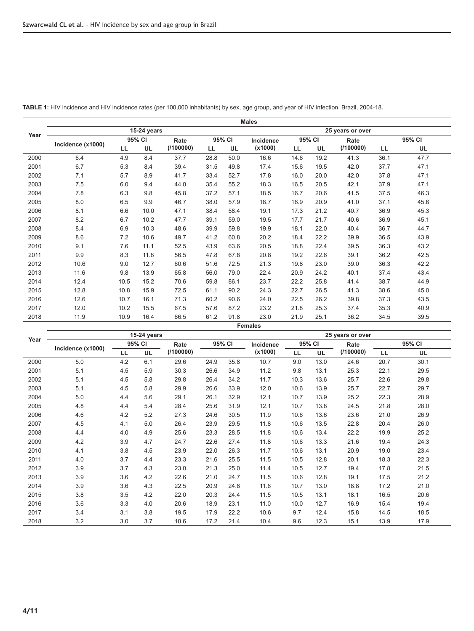|      |                   |      |             |           |           |      | <b>Males</b>   |                  |        |           |      |           |  |  |  |
|------|-------------------|------|-------------|-----------|-----------|------|----------------|------------------|--------|-----------|------|-----------|--|--|--|
|      |                   |      | 15-24 years |           |           |      |                | 25 years or over |        |           |      |           |  |  |  |
| Year |                   |      | 95% CI      | Rate      | 95% CI    |      | Incidence      |                  | 95% CI | Rate      |      | 95% CI    |  |  |  |
|      | Incidence (x1000) | LL   | <b>UL</b>   | (1100000) | <b>LL</b> | UL   | (x1000)        | LL               | UL     | (1100000) | LL   | <b>UL</b> |  |  |  |
| 2000 | 6.4               | 4.9  | 8.4         | 37.7      | 28.8      | 50.0 | 16.6           | 14.6             | 19.2   | 41.3      | 36.1 | 47.7      |  |  |  |
| 2001 | 6.7               | 5.3  | 8.4         | 39.4      | 31.5      | 49.8 | 17.4           | 15.6             | 19.5   | 42.0      | 37.7 | 47.1      |  |  |  |
| 2002 | 7.1               | 5.7  | 8.9         | 41.7      | 33.4      | 52.7 | 17.8           | 16.0             | 20.0   | 42.0      | 37.8 | 47.1      |  |  |  |
| 2003 | 7.5               | 6.0  | 9.4         | 44.0      | 35.4      | 55.2 | 18.3           | 16.5             | 20.5   | 42.1      | 37.9 | 47.1      |  |  |  |
| 2004 | 7.8               | 6.3  | 9.8         | 45.8      | 37.2      | 57.1 | 18.5           | 16.7             | 20.6   | 41.5      | 37.5 | 46.3      |  |  |  |
| 2005 | 8.0               | 6.5  | 9.9         | 46.7      | 38.0      | 57.9 | 18.7           | 16.9             | 20.9   | 41.0      | 37.1 | 45.6      |  |  |  |
| 2006 | 8.1               | 6.6  | 10.0        | 47.1      | 38.4      | 58.4 | 19.1           | 17.3             | 21.2   | 40.7      | 36.9 | 45.3      |  |  |  |
| 2007 | 8.2               | 6.7  | 10.2        | 47.7      | 39.1      | 59.0 | 19.5           | 17.7             | 21.7   | 40.6      | 36.9 | 45.1      |  |  |  |
| 2008 | 8.4               | 6.9  | 10.3        | 48.6      | 39.9      | 59.8 | 19.9           | 18.1             | 22.0   | 40.4      | 36.7 | 44.7      |  |  |  |
| 2009 | 8.6               | 7.2  | 10.6        | 49.7      | 41.2      | 60.8 | 20.2           | 18.4             | 22.2   | 39.9      | 36.5 | 43.9      |  |  |  |
| 2010 | 9.1               | 7.6  | 11.1        | 52.5      | 43.9      | 63.6 | 20.5           | 18.8             | 22.4   | 39.5      | 36.3 | 43.2      |  |  |  |
| 2011 | 9.9               | 8.3  | 11.8        | 56.5      | 47.8      | 67.8 | 20.8           | 19.2             | 22.6   | 39.1      | 36.2 | 42.5      |  |  |  |
| 2012 | 10.6              | 9.0  | 12.7        | 60.6      | 51.6      | 72.5 | 21.3           | 19.8             | 23.0   | 39.0      | 36.3 | 42.2      |  |  |  |
| 2013 | 11.6              | 9.8  | 13.9        | 65.8      | 56.0      | 79.0 | 22.4           | 20.9             | 24.2   | 40.1      | 37.4 | 43.4      |  |  |  |
| 2014 | 12.4              | 10.5 | 15.2        | 70.6      | 59.8      | 86.1 | 23.7           | 22.2             | 25.8   | 41.4      | 38.7 | 44.9      |  |  |  |
| 2015 | 12.8              | 10.8 | 15.9        | 72.5      | 61.1      | 90.2 | 24.3           | 22.7             | 26.5   | 41.3      | 38.6 | 45.0      |  |  |  |
| 2016 | 12.6              | 10.7 | 16.1        | 71.3      | 60.2      | 90.6 | 24.0           | 22.5             | 26.2   | 39.8      | 37.3 | 43.5      |  |  |  |
| 2017 | 12.0              | 10.2 | 15.5        | 67.5      | 57.6      | 87.2 | 23.2           | 21.8             | 25.3   | 37.4      | 35.3 | 40.9      |  |  |  |
| 2018 | 11.9              | 10.9 | 16.4        | 66.5      | 61.2      | 91.8 | 23.0           | 21.9             | 25.1   | 36.2      | 34.5 | 39.5      |  |  |  |
|      |                   |      |             |           |           |      | <b>Females</b> |                  |        |           |      |           |  |  |  |

**TABLE 1:** HIV incidence and HIV incidence rates (per 100,000 inhabitants) by sex, age group, and year of HIV infection. Brazil, 2004-18.

|      |                   | 15-24 years |           |                | 25 years or over |      |           |      |           |           |        |      |  |
|------|-------------------|-------------|-----------|----------------|------------------|------|-----------|------|-----------|-----------|--------|------|--|
| Year | Incidence (x1000) |             | 95% CI    | 95% CI<br>Rate |                  |      | Incidence |      | 95% CI    | Rate      | 95% CI |      |  |
|      |                   | LL.         | <b>UL</b> | (100000)       |                  |      | (x1000)   | LL   | <b>UL</b> | (1100000) | LL     | UL   |  |
| 2000 | 5.0               | 4.2         | 6.1       | 29.6           | 24.9             | 35.8 | 10.7      | 9.0  | 13.0      | 24.6      | 20.7   | 30.1 |  |
| 2001 | 5.1               | 4.5         | 5.9       | 30.3           | 26.6             | 34.9 | 11.2      | 9.8  | 13.1      | 25.3      | 22.1   | 29.5 |  |
| 2002 | 5.1               | 4.5         | 5.8       | 29.8           | 26.4             | 34.2 | 11.7      | 10.3 | 13.6      | 25.7      | 22.6   | 29.8 |  |
| 2003 | 5.1               | 4.5         | 5.8       | 29.9           | 26.6             | 33.9 | 12.0      | 10.6 | 13.9      | 25.7      | 22.7   | 29.7 |  |
| 2004 | 5.0               | 4.4         | 5.6       | 29.1           | 26.1             | 32.9 | 12.1      | 10.7 | 13.9      | 25.2      | 22.3   | 28.9 |  |
| 2005 | 4.8               | 4.4         | 5.4       | 28.4           | 25.6             | 31.9 | 12.1      | 10.7 | 13.8      | 24.5      | 21.8   | 28.0 |  |
| 2006 | 4.6               | 4.2         | 5.2       | 27.3           | 24.6             | 30.5 | 11.9      | 10.6 | 13.6      | 23.6      | 21.0   | 26.9 |  |
| 2007 | 4.5               | 4.1         | 5.0       | 26.4           | 23.9             | 29.5 | 11.8      | 10.6 | 13.5      | 22.8      | 20.4   | 26.0 |  |
| 2008 | 4.4               | 4.0         | 4.9       | 25.6           | 23.3             | 28.5 | 11.8      | 10.6 | 13.4      | 22.2      | 19.9   | 25.2 |  |
| 2009 | 4.2               | 3.9         | 4.7       | 24.7           | 22.6             | 27.4 | 11.8      | 10.6 | 13.3      | 21.6      | 19.4   | 24.3 |  |
| 2010 | 4.1               | 3.8         | 4.5       | 23.9           | 22.0             | 26.3 | 11.7      | 10.6 | 13.1      | 20.9      | 19.0   | 23.4 |  |
| 2011 | 4.0               | 3.7         | 4.4       | 23.3           | 21.6             | 25.5 | 11.5      | 10.5 | 12.8      | 20.1      | 18.3   | 22.3 |  |
| 2012 | 3.9               | 3.7         | 4.3       | 23.0           | 21.3             | 25.0 | 11.4      | 10.5 | 12.7      | 19.4      | 17.8   | 21.5 |  |
| 2013 | 3.9               | 3.6         | 4.2       | 22.6           | 21.0             | 24.7 | 11.5      | 10.6 | 12.8      | 19.1      | 17.5   | 21.2 |  |
| 2014 | 3.9               | 3.6         | 4.3       | 22.5           | 20.9             | 24.8 | 11.6      | 10.7 | 13.0      | 18.8      | 17.2   | 21.0 |  |
| 2015 | 3.8               | 3.5         | 4.2       | 22.0           | 20.3             | 24.4 | 11.5      | 10.5 | 13.1      | 18.1      | 16.5   | 20.6 |  |
| 2016 | 3.6               | 3.3         | 4.0       | 20.6           | 18.9             | 23.1 | 11.0      | 10.0 | 12.7      | 16.9      | 15.4   | 19.4 |  |
| 2017 | 3.4               | 3.1         | 3.8       | 19.5           | 17.9             | 22.2 | 10.6      | 9.7  | 12.4      | 15.8      | 14.5   | 18.5 |  |
| 2018 | 3.2               | 3.0         | 3.7       | 18.6           | 17.2             | 21.4 | 10.4      | 9.6  | 12.3      | 15.1      | 13.9   | 17.9 |  |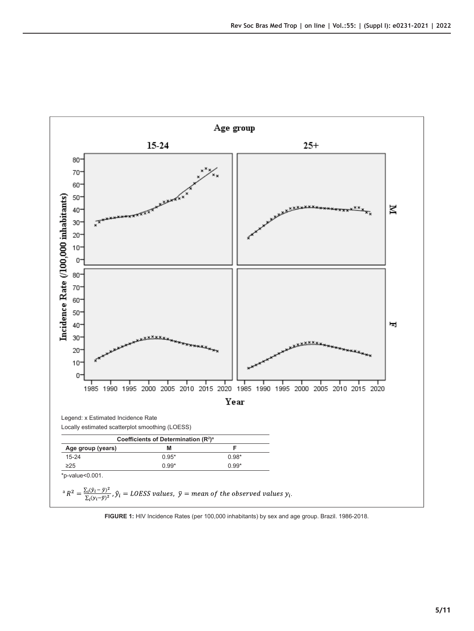

**FIGURE 1:** HIV Incidence Rates (per 100,000 inhabitants) by sex and age group. Brazil. 1986-2018.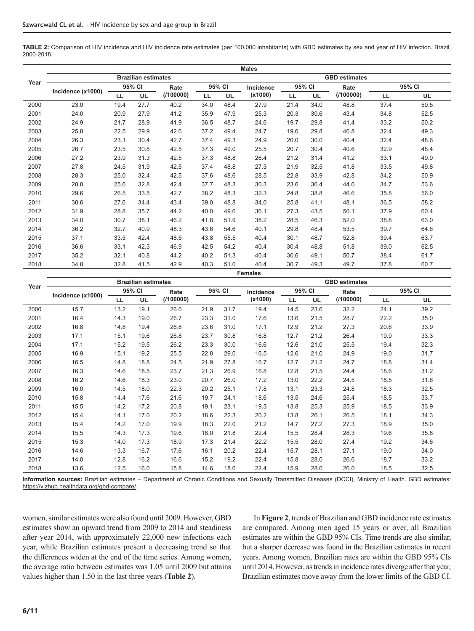**TABLE 2:** Comparison of HIV incidence and HIV incidence rate estimates (per 100,000 inhabitants) with GBD estimates by sex and year of HIV infection. Brazil, 2000-2018.

|      |                   |      |                            |           |      |           | <b>Males</b>   |                      |           |           |      |        |  |  |  |
|------|-------------------|------|----------------------------|-----------|------|-----------|----------------|----------------------|-----------|-----------|------|--------|--|--|--|
|      |                   |      | <b>Brazilian estimates</b> |           |      |           |                | <b>GBD</b> estimates |           |           |      |        |  |  |  |
| Year |                   |      | 95% CI                     | Rate      |      | 95% CI    | Incidence      |                      | 95% CI    | Rate      |      | 95% CI |  |  |  |
|      | Incidence (x1000) | LL.  | UL                         | (1100000) | LL   | <b>UL</b> | (x1000)        | LL                   | <b>UL</b> | (1100000) | LL.  | UL     |  |  |  |
| 2000 | 23.0              | 19.4 | 27.7                       | 40.2      | 34.0 | 48.4      | 27.9           | 21.4                 | 34.0      | 48.8      | 37.4 | 59.5   |  |  |  |
| 2001 | 24.0              | 20.9 | 27.9                       | 41.2      | 35.9 | 47.9      | 25.3           | 20.3                 | 30.6      | 43.4      | 34.8 | 52.5   |  |  |  |
| 2002 | 24.9              | 21.7 | 28.9                       | 41.9      | 36.5 | 48.7      | 24.6           | 19.7                 | 29.8      | 41.4      | 33.2 | 50.2   |  |  |  |
| 2003 | 25.8              | 22.5 | 29.9                       | 42.6      | 37.2 | 49.4      | 24.7           | 19.6                 | 29.8      | 40.8      | 32.4 | 49.3   |  |  |  |
| 2004 | 26.3              | 23.1 | 30.4                       | 42.7      | 37.4 | 49.3      | 24.9           | 20.0                 | 30.0      | 40.4      | 32.4 | 48.6   |  |  |  |
| 2005 | 26.7              | 23.5 | 30.8                       | 42.5      | 37.3 | 49.0      | 25.5           | 20.7                 | 30.4      | 40.6      | 32.9 | 48.4   |  |  |  |
| 2006 | 27.2              | 23.9 | 31.3                       | 42.5      | 37.3 | 48.8      | 26.4           | 21.2                 | 31.4      | 41.2      | 33.1 | 49.0   |  |  |  |
| 2007 | 27.8              | 24.5 | 31.9                       | 42.5      | 37.4 | 48.8      | 27.3           | 21.9                 | 32.5      | 41.8      | 33.5 | 49.8   |  |  |  |
| 2008 | 28.3              | 25.0 | 32.4                       | 42.5      | 37.6 | 48.6      | 28.5           | 22.8                 | 33.9      | 42.8      | 34.2 | 50.9   |  |  |  |
| 2009 | 28.8              | 25.6 | 32.8                       | 42.4      | 37.7 | 48.3      | 30.3           | 23.6                 | 36.4      | 44.6      | 34.7 | 53.6   |  |  |  |
| 2010 | 29.6              | 26.5 | 33.5                       | 42.7      | 38.2 | 48.3      | 32.3           | 24.8                 | 38.8      | 46.6      | 35.8 | 56.0   |  |  |  |
| 2011 | 30.6              | 27.6 | 34.4                       | 43.4      | 39.0 | 48.8      | 34.0           | 25.8                 | 41.1      | 48.1      | 36.5 | 58.2   |  |  |  |
| 2012 | 31.9              | 28.8 | 35.7                       | 44.2      | 40.0 | 49.6      | 36.1           | 27.3                 | 43.5      | 50.1      | 37.9 | 60.4   |  |  |  |
| 2013 | 34.0              | 30.7 | 38.1                       | 46.2      | 41.8 | 51.9      | 38.2           | 28.5                 | 46.3      | 52.0      | 38.8 | 63.0   |  |  |  |
| 2014 | 36.2              | 32.7 | 40.9                       | 48.3      | 43.6 | 54.6      | 40.1           | 29.8                 | 48.4      | 53.5      | 39.7 | 64.6   |  |  |  |
| 2015 | 37.1              | 33.5 | 42.4                       | 48.5      | 43.8 | 55.5      | 40.4           | 30.1                 | 48.7      | 52.8      | 39.4 | 63.7   |  |  |  |
| 2016 | 36.6              | 33.1 | 42.3                       | 46.9      | 42.5 | 54.2      | 40.4           | 30.4                 | 48.8      | 51.8      | 39.0 | 62.5   |  |  |  |
| 2017 | 35.2              | 32.1 | 40.8                       | 44.2      | 40.2 | 51.3      | 40.4           | 30.6                 | 49.1      | 50.7      | 38.4 | 61.7   |  |  |  |
| 2018 | 34.8              | 32.8 | 41.5                       | 42.9      | 40.3 | 51.0      | 40.4           | 30.7                 | 49.3      | 49.7      | 37.8 | 60.7   |  |  |  |
|      |                   |      |                            |           |      |           | <b>Females</b> |                      |           |           |      |        |  |  |  |

|      |                   |      | <b>Brazilian estimates</b> |           |      | <b>GBD</b> estimates |           |      |        |          |      |        |  |
|------|-------------------|------|----------------------------|-----------|------|----------------------|-----------|------|--------|----------|------|--------|--|
| Year |                   |      | 95% CI                     | Rate      |      | 95% CI               | Incidence |      | 95% CI | Rate     |      | 95% CI |  |
|      | Incidence (x1000) | LL   | <b>UL</b>                  | (1100000) |      |                      | (x1000)   | LL   | UL     | (100000) | LL.  | UL     |  |
| 2000 | 15.7              | 13.2 | 19.1                       | 26.0      | 21.9 | 31.7                 | 19.4      | 14.5 | 23.6   | 32.2     | 24.1 | 39.2   |  |
| 2001 | 16.4              | 14.3 | 19.0                       | 26.7      | 23.3 | 31.0                 | 17.6      | 13.6 | 21.5   | 28.7     | 22.2 | 35.0   |  |
| 2002 | 16.8              | 14.8 | 19.4                       | 26.8      | 23.6 | 31.0                 | 17.1      | 12.9 | 21.2   | 27.3     | 20.6 | 33.9   |  |
| 2003 | 17.1              | 15.1 | 19.6                       | 26.8      | 23.7 | 30.8                 | 16.8      | 12.7 | 21.2   | 26.4     | 19.9 | 33.3   |  |
| 2004 | 17.1              | 15.2 | 19.5                       | 26.2      | 23.3 | 30.0                 | 16.6      | 12.6 | 21.0   | 25.5     | 19.4 | 32.3   |  |
| 2005 | 16.9              | 15.1 | 19.2                       | 25.5      | 22.8 | 29.0                 | 16.5      | 12.6 | 21.0   | 24.9     | 19.0 | 31.7   |  |
| 2006 | 16.5              | 14.8 | 18.8                       | 24.5      | 21.9 | 27.8                 | 16.7      | 12.7 | 21.2   | 24.7     | 18.8 | 31.4   |  |
| 2007 | 16.3              | 14.6 | 18.5                       | 23.7      | 21.3 | 26.9                 | 16.8      | 12.8 | 21.5   | 24.4     | 18.6 | 31.2   |  |
| 2008 | 16.2              | 14.6 | 18.3                       | 23.0      | 20.7 | 26.0                 | 17.2      | 13.0 | 22.2   | 24.5     | 18.5 | 31.6   |  |
| 2009 | 16.0              | 14.5 | 18.0                       | 22.3      | 20.2 | 25.1                 | 17.8      | 13.1 | 23.3   | 24.8     | 18.3 | 32.5   |  |
| 2010 | 15.8              | 14.4 | 17.6                       | 21.6      | 19.7 | 24.1                 | 18.6      | 13.5 | 24.6   | 25.4     | 18.5 | 33.7   |  |
| 2011 | 15.5              | 14.2 | 17.2                       | 20.8      | 19.1 | 23.1                 | 19.3      | 13.8 | 25.3   | 25.9     | 18.5 | 33.9   |  |
| 2012 | 15.4              | 14.1 | 17.0                       | 20.2      | 18.6 | 22.3                 | 20.2      | 13.8 | 26.1   | 26.5     | 18.1 | 34.3   |  |
| 2013 | 15.4              | 14.2 | 17.0                       | 19.9      | 18.3 | 22.0                 | 21.2      | 14.7 | 27.2   | 27.3     | 18.9 | 35.0   |  |
| 2014 | 15.5              | 14.3 | 17.3                       | 19.6      | 18.0 | 21.8                 | 22.4      | 15.5 | 28.4   | 28.3     | 19.6 | 35.8   |  |
| 2015 | 15.3              | 14.0 | 17.3                       | 18.9      | 17.3 | 21.4                 | 22.2      | 15.5 | 28.0   | 27.4     | 19.2 | 34.6   |  |
| 2016 | 14.6              | 13.3 | 16.7                       | 17.6      | 16.1 | 20.2                 | 22.4      | 15.7 | 28.1   | 27.1     | 19.0 | 34.0   |  |
| 2017 | 14.0              | 12.8 | 16.2                       | 16.6      | 15.2 | 19.2                 | 22.4      | 15.8 | 28.0   | 26.6     | 18.7 | 33.2   |  |
| 2018 | 13.6              | 12.5 | 16.0                       | 15.8      | 14.6 | 18.6                 | 22.4      | 15.9 | 28.0   | 26.0     | 18.5 | 32.5   |  |

**Information sources:** Brazilian estimates – Department of Chronic Conditions and Sexually Transmitted Diseases (DCCI), Ministry of Health. GBD estimates: [https://vizhub.healthdata.org/gbd-compare/.](https://vizhub.healthdata.org/gbd-compare/)

women, similar estimates were also found until 2009. However, GBD estimates show an upward trend from 2009 to 2014 and steadiness after year 2014, with approximately 22,000 new infections each year, while Brazilian estimates present a decreasing trend so that the differences widen at the end of the time series. Among women, the average ratio between estimates was 1.05 until 2009 but attains values higher than 1.50 in the last three years (**Table 2**).

In **Figure 2**, trends of Brazilian and GBD incidence rate estimates are compared. Among men aged 15 years or over, all Brazilian estimates are within the GBD 95% CIs. Time trends are also similar, but a sharper decrease was found in the Brazilian estimates in recent years. Among women, Brazilian rates are within the GBD 95% CIs until 2014. However, as trends in incidence rates diverge after that year, Brazilian estimates move away from the lower limits of the GBD CI.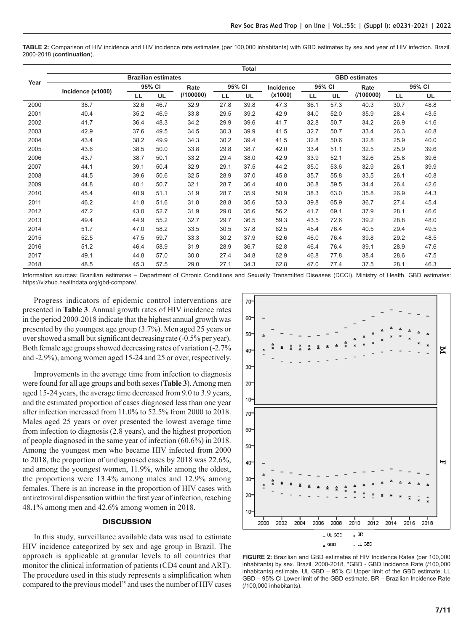| <b>TABLE 2:</b> Comparison of HIV incidence and HIV incidence rate estimates (per 100,000 inhabitants) with GBD estimates by sex and year of HIV infection. Brazil. |  |  |  |  |  |  |
|---------------------------------------------------------------------------------------------------------------------------------------------------------------------|--|--|--|--|--|--|
| 2000-2018 (continuation).                                                                                                                                           |  |  |  |  |  |  |

|      | <b>Total</b>      |      |                            |           |      |        |                      |      |        |           |      |           |  |  |  |
|------|-------------------|------|----------------------------|-----------|------|--------|----------------------|------|--------|-----------|------|-----------|--|--|--|
|      |                   |      | <b>Brazilian estimates</b> |           |      |        | <b>GBD</b> estimates |      |        |           |      |           |  |  |  |
| Year |                   |      | 95% CI                     | Rate      |      | 95% CI | Incidence            |      | 95% CI | Rate      |      | 95% CI    |  |  |  |
|      | Incidence (x1000) | LL   | UL                         | (1100000) | LL   | UL     | (x1000)              | LL   | UL     | (1100000) | LL.  | <b>UL</b> |  |  |  |
| 2000 | 38.7              | 32.6 | 46.7                       | 32.9      | 27.8 | 39.8   | 47.3                 | 36.1 | 57.3   | 40.3      | 30.7 | 48.8      |  |  |  |
| 2001 | 40.4              | 35.2 | 46.9                       | 33.8      | 29.5 | 39.2   | 42.9                 | 34.0 | 52.0   | 35.9      | 28.4 | 43.5      |  |  |  |
| 2002 | 41.7              | 36.4 | 48.3                       | 34.2      | 29.9 | 39.6   | 41.7                 | 32.8 | 50.7   | 34.2      | 26.9 | 41.6      |  |  |  |
| 2003 | 42.9              | 37.6 | 49.5                       | 34.5      | 30.3 | 39.9   | 41.5                 | 32.7 | 50.7   | 33.4      | 26.3 | 40.8      |  |  |  |
| 2004 | 43.4              | 38.2 | 49.9                       | 34.3      | 30.2 | 39.4   | 41.5                 | 32.8 | 50.6   | 32.8      | 25.9 | 40.0      |  |  |  |
| 2005 | 43.6              | 38.5 | 50.0                       | 33.8      | 29.8 | 38.7   | 42.0                 | 33.4 | 51.1   | 32.5      | 25.9 | 39.6      |  |  |  |
| 2006 | 43.7              | 38.7 | 50.1                       | 33.2      | 29.4 | 38.0   | 42.9                 | 33.9 | 52.1   | 32.6      | 25.8 | 39.6      |  |  |  |
| 2007 | 44.1              | 39.1 | 50.4                       | 32.9      | 29.1 | 37.5   | 44.2                 | 35.0 | 53.6   | 32.9      | 26.1 | 39.9      |  |  |  |
| 2008 | 44.5              | 39.6 | 50.6                       | 32.5      | 28.9 | 37.0   | 45.8                 | 35.7 | 55.8   | 33.5      | 26.1 | 40.8      |  |  |  |
| 2009 | 44.8              | 40.1 | 50.7                       | 32.1      | 28.7 | 36.4   | 48.0                 | 36.8 | 59.5   | 34.4      | 26.4 | 42.6      |  |  |  |
| 2010 | 45.4              | 40.9 | 51.1                       | 31.9      | 28.7 | 35.9   | 50.9                 | 38.3 | 63.0   | 35.8      | 26.9 | 44.3      |  |  |  |
| 2011 | 46.2              | 41.8 | 51.6                       | 31.8      | 28.8 | 35.6   | 53.3                 | 39.8 | 65.9   | 36.7      | 27.4 | 45.4      |  |  |  |
| 2012 | 47.2              | 43.0 | 52.7                       | 31.9      | 29.0 | 35.6   | 56.2                 | 41.7 | 69.1   | 37.9      | 28.1 | 46.6      |  |  |  |
| 2013 | 49.4              | 44.9 | 55.2                       | 32.7      | 29.7 | 36.5   | 59.3                 | 43.5 | 72.6   | 39.2      | 28.8 | 48.0      |  |  |  |
| 2014 | 51.7              | 47.0 | 58.2                       | 33.5      | 30.5 | 37.8   | 62.5                 | 45.4 | 76.4   | 40.5      | 29.4 | 49.5      |  |  |  |
| 2015 | 52.5              | 47.5 | 59.7                       | 33.3      | 30.2 | 37.9   | 62.6                 | 46.0 | 76.4   | 39.8      | 29.2 | 48.5      |  |  |  |
| 2016 | 51.2              | 46.4 | 58.9                       | 31.9      | 28.9 | 36.7   | 62.8                 | 46.4 | 76.4   | 39.1      | 28.9 | 47.6      |  |  |  |
| 2017 | 49.1              | 44.8 | 57.0                       | 30.0      | 27.4 | 34.8   | 62.9                 | 46.8 | 77.8   | 38.4      | 28.6 | 47.5      |  |  |  |
| 2018 | 48.5              | 45.3 | 57.5                       | 29.0      | 27.1 | 34.3   | 62.8                 | 47.0 | 77.4   | 37.5      | 28.1 | 46.3      |  |  |  |

Information sources: Brazilian estimates – Department of Chronic Conditions and Sexually Transmitted Diseases (DCCI), Ministry of Health. GBD estimates: [https://vizhub.healthdata.org/gbd-compare/.](https://vizhub.healthdata.org/gbd-compare/)

Progress indicators of epidemic control interventions are presented in **Table 3**. Annual growth rates of HIV incidence rates in the period 2000-2018 indicate that the highest annual growth was presented by the youngest age group (3.7%). Men aged 25 years or over showed a small but significant decreasing rate (-0.5% per year). Both female age groups showed decreasing rates of variation (-2.7% and -2.9%), among women aged 15-24 and 25 or over, respectively.

Improvements in the average time from infection to diagnosis were found for all age groups and both sexes (**Table 3**). Among men aged 15-24 years, the average time decreased from 9.0 to 3.9 years, and the estimated proportion of cases diagnosed less than one year after infection increased from 11.0% to 52.5% from 2000 to 2018. Males aged 25 years or over presented the lowest average time from infection to diagnosis (2.8 years), and the highest proportion of people diagnosed in the same year of infection (60.6%) in 2018. Among the youngest men who became HIV infected from 2000 to 2018, the proportion of undiagnosed cases by 2018 was 22.6%, and among the youngest women, 11.9%, while among the oldest, the proportions were 13.4% among males and 12.9% among females. There is an increase in the proportion of HIV cases with antiretroviral dispensation within the first year of infection, reaching 48.1% among men and 42.6% among women in 2018.

#### **DISCUSSION**

In this study, surveillance available data was used to estimate HIV incidence categorized by sex and age group in Brazil. The approach is applicable at granular levels to all countries that monitor the clinical information of patients (CD4 count and ART). The procedure used in this study represents a simplification when compared to the previous model<sup>25</sup> and uses the number of HIV cases



**FIGURE 2:** Brazilian and GBD estimates of HIV Incidence Rates (per 100,000 inhabitants) by sex. Brazil. 2000-2018. \*GBD - GBD Incidence Rate (/100,000 inhabitants) estimate. UL GBD – 95% CI Upper limit of the GBD estimate. LL GBD – 95% CI Lower limit of the GBD estimate. BR – Brazilian Incidence Rate (/100,000 inhabitants).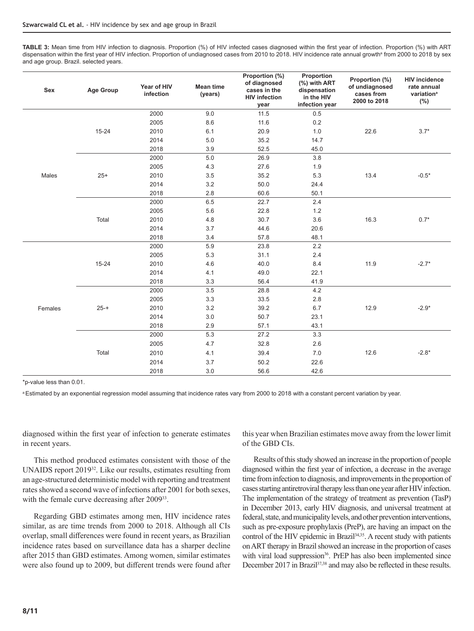**TABLE 3:** Mean time from HIV infection to diagnosis. Proportion (%) of HIV infected cases diagnosed within the first year of infection. Proportion (%) with ART dispensation within the first year of HIV infection. Proportion of undiagnosed cases from 2010 to 2018. HIV incidence rate annual growthª from 2000 to 2018 by sex and age group. Brazil. selected years.

| Sex     | <b>Age Group</b> | Year of HIV<br>infection | <b>Mean time</b><br>(years) | Proportion (%)<br>of diagnosed<br>cases in the<br><b>HIV infection</b><br>year | Proportion<br>(%) with ART<br>dispensation<br>in the HIV<br>infection year | Proportion (%)<br>of undiagnosed<br>cases from<br>2000 to 2018 | <b>HIV incidence</b><br>rate annual<br>variation <sup>a</sup><br>(%) |
|---------|------------------|--------------------------|-----------------------------|--------------------------------------------------------------------------------|----------------------------------------------------------------------------|----------------------------------------------------------------|----------------------------------------------------------------------|
|         |                  | 2000                     | 9.0                         | 11.5                                                                           | 0.5                                                                        |                                                                |                                                                      |
|         |                  | 2005                     | 8.6                         | 11.6                                                                           | 0.2                                                                        |                                                                |                                                                      |
|         | $15 - 24$        | 2010                     | 6.1                         | 20.9                                                                           | 1.0                                                                        | 22.6                                                           | $3.7*$                                                               |
|         |                  | 2014                     | 5.0                         | 35.2                                                                           | 14.7                                                                       |                                                                |                                                                      |
|         |                  | 2018                     | 3.9                         | 52.5                                                                           | 45.0                                                                       |                                                                |                                                                      |
|         |                  | 2000                     | 5.0                         | 26.9                                                                           | 3.8                                                                        |                                                                |                                                                      |
|         |                  | 2005                     | 4.3                         | 27.6                                                                           | 1.9                                                                        |                                                                |                                                                      |
| Males   | $25+$            | 2010                     | 3.5                         | 35.2                                                                           | 5.3                                                                        | 13.4                                                           | $-0.5*$                                                              |
|         |                  | 2014                     | 3.2                         | 50.0                                                                           | 24.4                                                                       |                                                                |                                                                      |
|         |                  | 2018                     | 2.8                         | 60.6                                                                           | 50.1                                                                       |                                                                |                                                                      |
|         |                  | 2000                     | 6.5                         | 22.7                                                                           | 2.4                                                                        |                                                                |                                                                      |
|         |                  | 2005                     | 5.6                         | 22.8                                                                           | 1.2                                                                        |                                                                |                                                                      |
|         | Total            | 2010                     | 4.8                         | 30.7                                                                           | 3.6                                                                        | 16.3                                                           | $0.7*$                                                               |
|         |                  | 2014                     | 3.7                         | 44.6                                                                           | 20.6                                                                       |                                                                |                                                                      |
|         |                  | 2018                     | 3.4                         | 57.8                                                                           | 48.1                                                                       |                                                                |                                                                      |
|         |                  | 2000                     | 5.9                         | 23.8                                                                           | 2.2                                                                        |                                                                |                                                                      |
|         |                  | 2005                     | 5.3                         | 31.1                                                                           | 2.4                                                                        |                                                                |                                                                      |
|         | $15 - 24$        | 2010                     | 4.6                         | 40.0                                                                           | 8.4                                                                        | 11.9                                                           | $-2.7*$                                                              |
|         |                  | 2014                     | 4.1                         | 49.0                                                                           | 22.1                                                                       |                                                                |                                                                      |
|         |                  | 2018                     | 3.3                         | 56.4                                                                           | 41.9                                                                       |                                                                |                                                                      |
|         |                  | 2000                     | 3.5                         | 28.8                                                                           | 4.2                                                                        |                                                                |                                                                      |
|         |                  | 2005                     | 3.3                         | 33.5                                                                           | 2.8                                                                        |                                                                |                                                                      |
| Females | $25 - +$         | 2010                     | 3.2                         | 39.2                                                                           | 6.7                                                                        | 12.9                                                           | $-2.9*$                                                              |
|         |                  | 2014                     | 3.0                         | 50.7                                                                           | 23.1                                                                       |                                                                |                                                                      |
|         |                  | 2018                     | 2.9                         | 57.1                                                                           | 43.1                                                                       |                                                                |                                                                      |
|         |                  | 2000                     | 5.3                         | 27.2                                                                           | 3.3                                                                        |                                                                |                                                                      |
|         |                  | 2005                     | 4.7                         | 32.8                                                                           | 2.6                                                                        |                                                                |                                                                      |
|         | Total            | 2010                     | 4.1                         | 39.4                                                                           | $7.0\,$                                                                    | 12.6                                                           | $-2.8*$                                                              |
|         |                  | 2014                     | 3.7                         | 50.2                                                                           | 22.6                                                                       |                                                                |                                                                      |
|         |                  | 2018                     | $3.0\,$                     | 56.6                                                                           | 42.6                                                                       |                                                                |                                                                      |

\*p-value less than 0.01.

a Estimated by an exponential regression model assuming that incidence rates vary from 2000 to 2018 with a constant percent variation by year.

diagnosed within the first year of infection to generate estimates in recent years.

This method produced estimates consistent with those of the UNAIDS report 201932. Like our results, estimates resulting from an age-structured deterministic model with reporting and treatment rates showed a second wave of infections after 2001 for both sexes, with the female curve decreasing after 2009<sup>33</sup>.

Regarding GBD estimates among men, HIV incidence rates similar, as are time trends from 2000 to 2018. Although all CIs overlap, small differences were found in recent years, as Brazilian incidence rates based on surveillance data has a sharper decline after 2015 than GBD estimates. Among women, similar estimates were also found up to 2009, but different trends were found after

this year when Brazilian estimates move away from the lower limit of the GBD CIs.

Results of this study showed an increase in the proportion of people diagnosed within the first year of infection, a decrease in the average time from infection to diagnosis, and improvements in the proportion of cases starting antiretroviral therapy less than one year after HIV infection. The implementation of the strategy of treatment as prevention (TasP) in December 2013, early HIV diagnosis, and universal treatment at federal, state, and municipality levels, and other prevention interventions, such as pre-exposure prophylaxis (PreP), are having an impact on the control of the HIV epidemic in Brazil<sup>34,35</sup>. A recent study with patients on ART therapy in Brazil showed an increase in the proportion of cases with viral load suppression<sup>36</sup>. PrEP has also been implemented since December 2017 in Brazil<sup>37,38</sup> and may also be reflected in these results.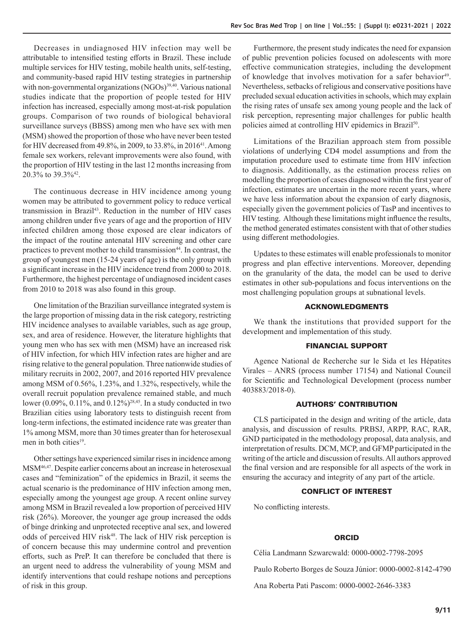Decreases in undiagnosed HIV infection may well be attributable to intensified testing efforts in Brazil. These include multiple services for HIV testing, mobile health units, self-testing, and community-based rapid HIV testing strategies in partnership with non-governmental organizations  $(NGOs)^{39,40}$ . Various national studies indicate that the proportion of people tested for HIV infection has increased, especially among most-at-risk population groups. Comparison of two rounds of biological behavioral surveillance surveys (BBSS) among men who have sex with men (MSM) showed the proportion of those who have never been tested for HIV decreased from 49.8%, in 2009, to 33.8%, in 2016<sup>41</sup>. Among female sex workers, relevant improvements were also found, with the proportion of HIV testing in the last 12 months increasing from 20.3% to 39.3%42.

The continuous decrease in HIV incidence among young women may be attributed to government policy to reduce vertical transmission in Brazil<sup>43</sup>. Reduction in the number of HIV cases among children under five years of age and the proportion of HIV infected children among those exposed are clear indicators of the impact of the routine antenatal HIV screening and other care practices to prevent mother to child transmission<sup>44</sup>. In contrast, the group of youngest men (15-24 years of age) is the only group with a significant increase in the HIV incidence trend from 2000 to 2018. Furthermore, the highest percentage of undiagnosed incident cases from 2010 to 2018 was also found in this group.

One limitation of the Brazilian surveillance integrated system is the large proportion of missing data in the risk category, restricting HIV incidence analyses to available variables, such as age group, sex, and area of residence. However, the literature highlights that young men who has sex with men (MSM) have an increased risk of HIV infection, for which HIV infection rates are higher and are rising relative to the general population. Three nationwide studies of military recruits in 2002, 2007, and 2016 reported HIV prevalence among MSM of 0.56%, 1.23%, and 1.32%, respectively, while the overall recruit population prevalence remained stable, and much lower (0.09%, 0.11%, and 0.12%)<sup>28,45</sup>. In a study conducted in two Brazilian cities using laboratory tests to distinguish recent from long-term infections, the estimated incidence rate was greater than 1% among MSM, more than 30 times greater than for heterosexual men in both cities $19$ .

Other settings have experienced similar rises in incidence among MSM46,47. Despite earlier concerns about an increase in heterosexual cases and "feminization" of the epidemics in Brazil, it seems the actual scenario is the predominance of HIV infection among men, especially among the youngest age group. A recent online survey among MSM in Brazil revealed a low proportion of perceived HIV risk (26%). Moreover, the younger age group increased the odds of binge drinking and unprotected receptive anal sex, and lowered odds of perceived HIV risk<sup>48</sup>. The lack of HIV risk perception is of concern because this may undermine control and prevention efforts, such as PreP. It can therefore be concluded that there is an urgent need to address the vulnerability of young MSM and identify interventions that could reshape notions and perceptions of risk in this group.

Furthermore, the present study indicates the need for expansion of public prevention policies focused on adolescents with more effective communication strategies, including the development of knowledge that involves motivation for a safer behavior<sup>49</sup>. Nevertheless, setbacks of religious and conservative positions have precluded sexual education activities in schools, which may explain the rising rates of unsafe sex among young people and the lack of risk perception, representing major challenges for public health policies aimed at controlling HIV epidemics in Brazil<sup>50</sup>.

Limitations of the Brazilian approach stem from possible violations of underlying CD4 model assumptions and from the imputation procedure used to estimate time from HIV infection to diagnosis. Additionally, as the estimation process relies on modelling the proportion of cases diagnosed within the first year of infection, estimates are uncertain in the more recent years, where we have less information about the expansion of early diagnosis, especially given the government policies of TasP and incentives to HIV testing. Although these limitations might influence the results, the method generated estimates consistent with that of other studies using different methodologies.

Updates to these estimates will enable professionals to monitor progress and plan effective interventions. Moreover, depending on the granularity of the data, the model can be used to derive estimates in other sub-populations and focus interventions on the most challenging population groups at subnational levels.

#### ACKNOWLEDGMENTS

We thank the institutions that provided support for the development and implementation of this study.

### FINANCIAL SUPPORT

Agence National de Recherche sur le Sida et les Hépatites Virales – ANRS (process number 17154) and National Council for Scientific and Technological Development (process number 403883/2018-0).

## AUTHORS' CONTRIBUTION

CLS participated in the design and writing of the article, data analysis, and discussion of results. PRBSJ, ARPP, RAC, RAR, GND participated in the methodology proposal, data analysis, and interpretation of results. DCM, MCP, and GFMP participated in the writing of the article and discussion of results. All authors approved the final version and are responsible for all aspects of the work in ensuring the accuracy and integrity of any part of the article.

### CONFLICT OF INTEREST

No conflicting interests.

#### ORCID

Célia Landmann Szwarcwald: 0000-0002-7798-2095

Paulo Roberto Borges de Souza Júnior: 0000-0002-8142-4790

Ana Roberta Pati Pascom: 0000-0002-2646-3383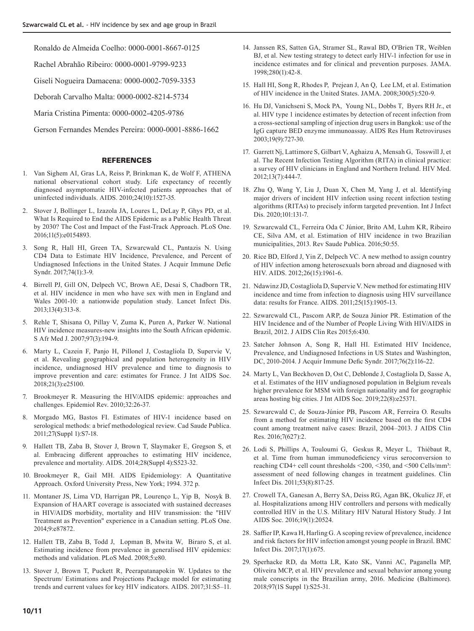Ronaldo de Almeida Coelho: 0000-0001-8667-0125

Rachel Abrahão Ribeiro: 0000-0001-9799-9233

Giseli Nogueira Damacena: 0000-0002-7059-3353

Deborah Carvalho Malta: 0000-0002-8214-5734

Maria Cristina Pimenta: [0000-0002-4205-9786](/scielo.php?pid=S1415-790X2019000200100&script=sci_arttext&tlng=pt)

Gerson Fernandes Mendes Pereira: 0000-0001-8886-1662

## **REFERENCES**

- 1. Van Sighem AI, Gras LA, Reiss P, [Brinkman K,](about:blank) [de Wolf F,](about:blank) ATHENA national observational cohort study. Life expectancy of recently diagnosed asymptomatic HIV-infected patients approaches that of uninfected individuals. AIDS. 2010;24(10):1527-35.
- 2. Stover J, Bollinger L, Izazola JA, Loures L, DeLay P, Ghys PD, et al. What Is Required to End the AIDS Epidemic as a Public Health Threat by 2030? The Cost and Impact of the Fast-Track Approach. PLoS One. 2016;11(5):e0154893.
- 3. Song R, Hall HI, Green TA, Szwarcwald CL, Pantazis N. Using CD4 Data to Estimate HIV Incidence, Prevalence, and Percent of Undiagnosed Infections in the United States. J Acquir Immune Defic Syndr. 2017;74(1):3-9.
- 4. Birrell PJ, Gill ON, Delpech VC, Brown AE, Desai S, [Chadborn TR](https://www.ncbi.nlm.nih.gov/pubmed/?term=Chadborn TR%5BAuthor%5D&cauthor=true&cauthor_uid=23375420), et al. HIV incidence in men who have sex with men in England and Wales 2001-10: a nationwide population study. Lancet Infect Dis. 2013;13(4):313-8.
- 5. Rehle T, Shisana O, Pillay V, [Zuma K,](about:blank) Puren A, [Parker W](https://www.ncbi.nlm.nih.gov/pubmed/?term=Parker W%5BAuthor%5D&cauthor=true&cauthor_uid=17440667). National HIV incidence measures-new insights into the South African epidemic. S Afr Med J. 2007;97(3):194-9.
- 6. Marty L, Cazein F, Panjo H, Pillonel J, Costagliola D, Supervie V, et al. Revealing geographical and population heterogeneity in HIV incidence, undiagnosed HIV prevalence and time to diagnosis to improve prevention and care: estimates for France. J Int AIDS Soc. 2018;21(3):e25100.
- 7. Brookmeyer R. Measuring the HIV/AIDS epidemic: approaches and challenges. Epidemiol Rev. 2010;32:26-37.
- 8. Morgado MG, Bastos FI. Estimates of HIV-1 incidence based on serological methods: a brief methodological review. Cad Saude Publica. 2011;27(Suppl 1):S7-18.
- 9. Hallett TB, Zaba B, Stover J, Brown T, Slaymaker E, [Gregson S,](https://www.ncbi.nlm.nih.gov/pubmed/?term=Gregson S%5BAuthor%5D&cauthor=true&cauthor_uid=25406755) et al. Embracing different approaches to estimating HIV incidence, prevalence and mortality. AIDS. 2014;28(Suppl 4):S523-32.
- 10. Brookmeyer R, Gail MH. AIDS Epidemiology: A Quantitative Approach. Oxford University Press, New York; 1994. 372 p.
- 11. Montaner JS, Lima VD, Harrigan PR, [Lourenço L,](about:blank) [Yip B](about:blank), [Nosyk B](https://www.ncbi.nlm.nih.gov/pubmed/?term=Nosyk B%5BAuthor%5D&cauthor=true&cauthor_uid=24533061). Expansion of HAART coverage is associated with sustained decreases in HIV/AIDS morbidity, mortality and HIV transmission: the "HIV Treatment as Prevention" experience in a Canadian setting. PLoS One. 2014;9:e87872.
- 12. Hallett TB, Zaba B, Todd J, Lopman B, Mwita W, [Biraro S](https://www.ncbi.nlm.nih.gov/pubmed/?term=Biraro S%5BAuthor%5D&cauthor=true&cauthor_uid=18590346), et al. Estimating incidence from prevalence in generalised HIV epidemics: methods and validation. PLoS Med. 2008;5:e80.
- 13. [Stover J, Brown T, Puckett R, Peerapatanapokin W. Updates to the](about:blank)  [Spectrum/ Estimations and Projections Package model for estimating](about:blank)  [trends and current values for key HIV indicators. AIDS. 2017;31:S5–11](about:blank).
- 14. Janssen RS, Satten GA, Stramer SL, [Rawal BD](about:blank), [O'Brien TR,](about:blank) [Weiblen](https://www.ncbi.nlm.nih.gov/pubmed/?term=Weiblen BJ%5BAuthor%5D&cauthor=true&cauthor_uid=9660362)  [BJ,](https://www.ncbi.nlm.nih.gov/pubmed/?term=Weiblen BJ%5BAuthor%5D&cauthor=true&cauthor_uid=9660362) et al. New testing strategy to detect early HIV-1 infection for use in incidence estimates and for clinical and prevention purposes. JAMA. 1998;280(1):42-8.
- 15. Hall HI, Song R, Rhodes P, [Prejean J,](about:blank) [An Q](about:blank), [Lee LM](https://www.ncbi.nlm.nih.gov/pubmed/?term=Lee LM%5BAuthor%5D&cauthor=true&cauthor_uid=18677024), et al. Estimation of HIV incidence in the United States. JAMA. 2008;300(5):520-9.
- 16. Hu DJ, Vanichseni S, Mock PA, [Young NL](about:blank), Dobbs T, [Byers RH Jr](https://www.ncbi.nlm.nih.gov/pubmed/?term=Byers RH Jr%5BAuthor%5D&cauthor=true&cauthor_uid=14585202)., et al. HIV type 1 incidence estimates by detection of recent infection from a cross-sectional sampling of injection drug users in Bangkok: use of the IgG capture BED enzyme immunoassay. AIDS Res Hum Retroviruses 2003;19(9):727-30.
- 17. Garrett Nj, Lattimore S, Gilbart V, Aghaizu A, Mensah G, [Tosswill J,](https://www.ncbi.nlm.nih.gov/pubmed/?term=Tosswill J%5BAuthor%5D&cauthor=true&cauthor_uid=22413890) et al. The Recent Infection Testing Algorithm (RITA) in clinical practice: a survey of HIV clinicians in England and Northern Ireland. HIV Med. 2012;13(7):444-7.
- 18. Zhu Q, Wang Y, Liu J, Duan X, Chen M, Yang J, et al. Identifying major drivers of incident HIV infection using recent infection testing algorithms (RITAs) to precisely inform targeted prevention. Int J Infect Dis. 2020;101:131-7.
- 19. Szwarcwald CL, Ferreira Oda C Júnior, Brito AM, Luhm KR, Ribeiro CE, Silva AM, et al. Estimation of HIV incidence in two Brazilian municipalities, 2013. Rev Saude Publica. 2016;50:55.
- 20. Rice BD, Elford J, Yin Z, Delpech VC. A new method to assign country of HIV infection among heterosexuals born abroad and diagnosed with HIV. AIDS. 2012;26(15):1961-6.
- 21. Ndawinz JD, Costagliola D, Supervie V. New method for estimating HIV incidence and time from infection to diagnosis using HIV surveillance data: results for France. AIDS. 2011;25(15):1905-13.
- 22. Szwarcwald CL, Pascom ARP, de Souza Júnior PR. Estimation of the HIV Incidence and of the Number of People Living With HIV/AIDS in Brazil, 2012. J AIDS Clin Res 2015;6:430.
- 23. Satcher Johnson A, Song R, Hall HI. Estimated HIV Incidence, Prevalence, and Undiagnosed Infections in US States and Washington, DC, 2010-2014. J Acquir Immune Defic Syndr. 2017;76(2):116-22.
- 24. Marty L, Van Beckhoven D, Ost C, Deblonde J, Costagliola D, Sasse A, et al. Estimates of the HIV undiagnosed population in Belgium reveals higher prevalence for MSM with foreign nationality and for geographic areas hosting big cities. J Int AIDS Soc. 2019;22(8):e25371.
- 25. [Szwarcwald C, de Souza-Júnior PB, Pascom AR, Ferreira O. Results](about:blank)  [from](about:blank) [a](about:blank) [method for estimating HIV incidence based on the first CD4](about:blank)  [count among treatment](about:blank) [naïve cases: Brazil, 2004–2013. J AIDS Clin](about:blank)  [Res. 2016;7\(627\):2.](about:blank)
- 26. Lodi S, Phillips A, Touloumi G, Geskus R, [Meyer L](about:blank), [Thiébaut R,](https://www.ncbi.nlm.nih.gov/pubmed/?term=Thi%C3%A9baut R%5BAuthor%5D&cauthor=true&cauthor_uid=21921225) et al. Time from human immunodeficiency virus seroconversion to reaching CD4+ cell count thresholds <200, <350, and <500 Cells/mm<sup>3</sup>: assessment of need following changes in treatment guidelines. Clin Infect Dis. 2011;53(8):817-25.
- 27. Crowell TA, Ganesan A, Berry SA, Deiss RG, Agan BK, [Okulicz JF](https://www.ncbi.nlm.nih.gov/pubmed/?term=Okulicz JF%5BAuthor%5D&cauthor=true&cauthor_uid=26955965), et al. Hospitalizations among HIV controllers and persons with medically controlled HIV in the U.S. Military HIV Natural History Study. J Int AIDS Soc. 2016;19(1):20524.
- 28. Saffier IP, Kawa H, Harling G. A scoping review of prevalence, incidence and risk factors for HIV infection amongst young people in Brazil. BMC Infect Dis. 2017;17(1):675.
- 29. Sperhacke RD, da Motta LR, Kato SK, Vanni AC, Paganella MP, Oliveira MCP, et al. HIV prevalence and sexual behavior among young male conscripts in the Brazilian army, 2016. Medicine (Baltimore). 2018;97(1S Suppl 1):S25-31.